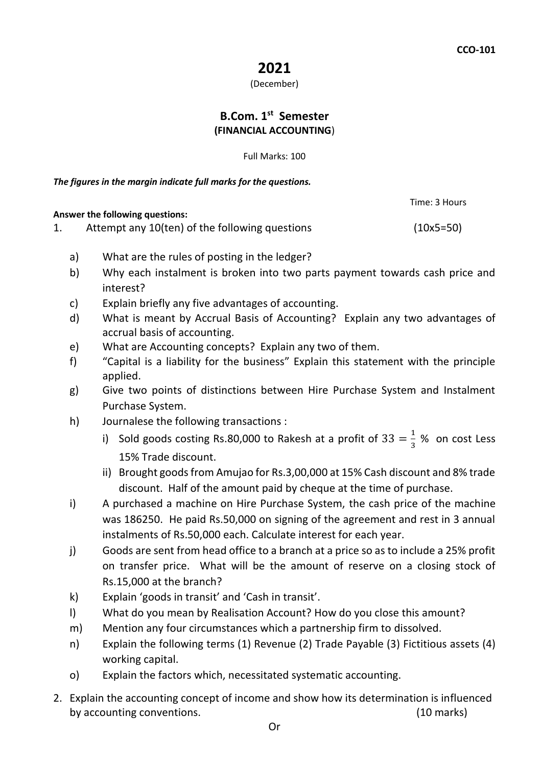# **2021**

### (December)

## **B.Com. 1st Semester (FINANCIAL ACCOUNTING**)

Full Marks: 100

*The figures in the margin indicate full marks for the questions.*

**Answer the following questions:** 

Time: 3 Hours

1. Attempt any 10(ten) of the following questions (10x5=50)

- a) What are the rules of posting in the ledger?
- b) Why each instalment is broken into two parts payment towards cash price and interest?
- c) Explain briefly any five advantages of accounting.
- d) What is meant by Accrual Basis of Accounting? Explain any two advantages of accrual basis of accounting.
- e) What are Accounting concepts? Explain any two of them.
- f) "Capital is a liability for the business" Explain this statement with the principle applied.
- g) Give two points of distinctions between Hire Purchase System and Instalment Purchase System.
- h) Journalese the following transactions :
	- i) Sold goods costing Rs.80,000 to Rakesh at a profit of  $33 = \frac{1}{3}$  $\frac{1}{3}$  % on cost Less 15% Trade discount.
	- ii) Brought goods from Amujao for Rs.3,00,000 at 15% Cash discount and 8% trade discount. Half of the amount paid by cheque at the time of purchase.
- i) A purchased a machine on Hire Purchase System, the cash price of the machine was 186250. He paid Rs.50,000 on signing of the agreement and rest in 3 annual instalments of Rs.50,000 each. Calculate interest for each year.
- j) Goods are sent from head office to a branch at a price so as to include a 25% profit on transfer price. What will be the amount of reserve on a closing stock of Rs.15,000 at the branch?
- k) Explain 'goods in transit' and 'Cash in transit'.
- l) What do you mean by Realisation Account? How do you close this amount?
- m) Mention any four circumstances which a partnership firm to dissolved.
- n) Explain the following terms (1) Revenue (2) Trade Payable (3) Fictitious assets (4) working capital.
- o) Explain the factors which, necessitated systematic accounting.
- 2. Explain the accounting concept of income and show how its determination is influenced by accounting conventions. (10 marks)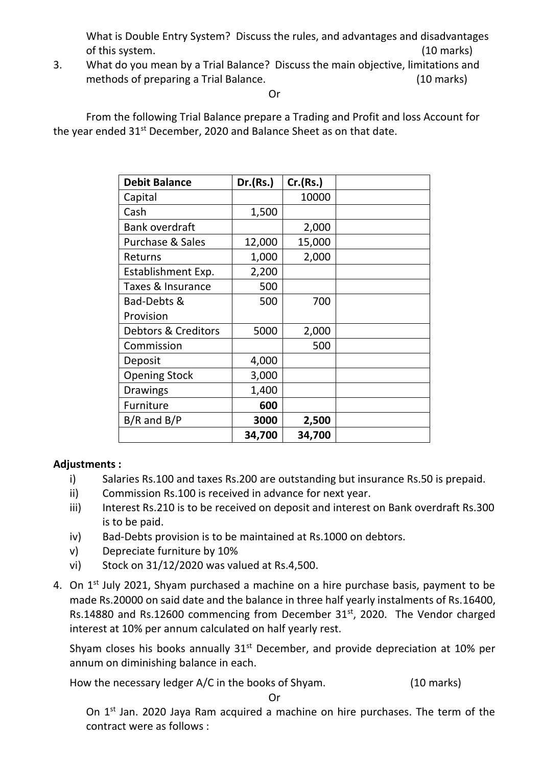What is Double Entry System? Discuss the rules, and advantages and disadvantages of this system. (10 marks)

3. What do you mean by a Trial Balance? Discuss the main objective, limitations and methods of preparing a Trial Balance. (10 marks)

#### Or

From the following Trial Balance prepare a Trading and Profit and loss Account for the year ended 31<sup>st</sup> December, 2020 and Balance Sheet as on that date.

| <b>Debit Balance</b>        | Dr.(Rs.) | Cr.(Rs.) |  |
|-----------------------------|----------|----------|--|
| Capital                     |          | 10000    |  |
| Cash                        | 1,500    |          |  |
| <b>Bank overdraft</b>       |          | 2,000    |  |
| <b>Purchase &amp; Sales</b> | 12,000   | 15,000   |  |
| Returns                     | 1,000    | 2,000    |  |
| Establishment Exp.          | 2,200    |          |  |
| Taxes & Insurance           | 500      |          |  |
| Bad-Debts &                 | 500      | 700      |  |
| Provision                   |          |          |  |
| Debtors & Creditors         | 5000     | 2,000    |  |
| Commission                  |          | 500      |  |
| Deposit                     | 4,000    |          |  |
| <b>Opening Stock</b>        | 3,000    |          |  |
| <b>Drawings</b>             | 1,400    |          |  |
| Furniture                   | 600      |          |  |
| $B/R$ and $B/P$             | 3000     | 2,500    |  |
|                             | 34,700   | 34,700   |  |

### **Adjustments :**

- i) Salaries Rs.100 and taxes Rs.200 are outstanding but insurance Rs.50 is prepaid.
- ii) Commission Rs.100 is received in advance for next year.
- iii) Interest Rs.210 is to be received on deposit and interest on Bank overdraft Rs.300 is to be paid.
- iv) Bad-Debts provision is to be maintained at Rs.1000 on debtors.
- v) Depreciate furniture by 10%
- vi) Stock on 31/12/2020 was valued at Rs.4,500.
- 4. On  $1<sup>st</sup>$  July 2021, Shyam purchased a machine on a hire purchase basis, payment to be made Rs.20000 on said date and the balance in three half yearly instalments of Rs.16400, Rs.14880 and Rs.12600 commencing from December 31<sup>st</sup>, 2020. The Vendor charged interest at 10% per annum calculated on half yearly rest.

Shyam closes his books annually  $31<sup>st</sup>$  December, and provide depreciation at 10% per annum on diminishing balance in each.

How the necessary ledger A/C in the books of Shyam. (10 marks)

Or

On 1<sup>st</sup> Jan. 2020 Jaya Ram acquired a machine on hire purchases. The term of the contract were as follows :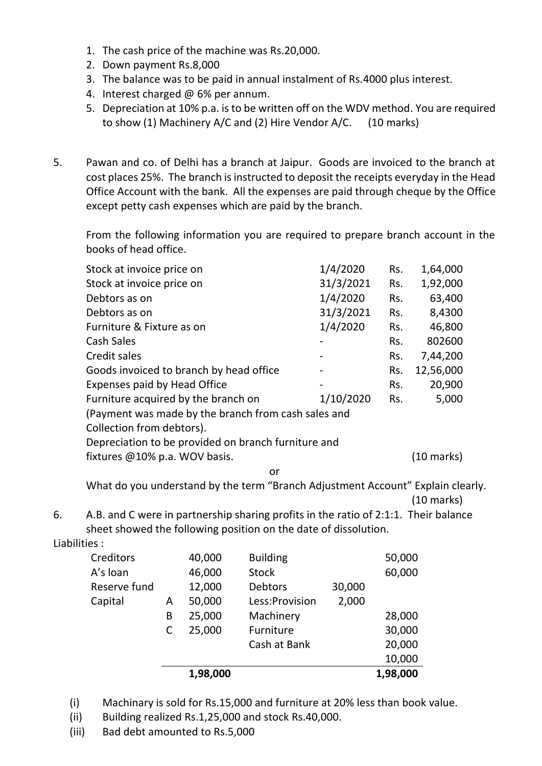- 1. The cash price of the machine was Rs.20,000.
- 2. Down payment Rs.8,000
- 3. The balance was to be paid in annual instalment of Rs.4000 plus interest.
- 4. Interest charged @ 6% per annum.
- 5. Depreciation at 10% p.a. is to be written off on the WDV method. You are required to show (1) Machinery A/C and (2) Hire Vendor A/C. (10 marks)
- 5. Pawan and co. of Delhi has a branch at Jaipur. Goods are invoiced to the branch at cost places 25%. The branch is instructed to deposit the receipts everyday in the Head Office Account with the bank. All the expenses are paid through cheque by the Office except petty cash expenses which are paid by the branch.

From the following information you are required to prepare branch account in the books of head office.

| Stock at invoice price on                           | 1/4/2020  | Rs. | 1,64,000   |  |  |  |  |
|-----------------------------------------------------|-----------|-----|------------|--|--|--|--|
| Stock at invoice price on                           | 31/3/2021 | Rs. | 1,92,000   |  |  |  |  |
| Debtors as on                                       | 1/4/2020  | Rs. | 63,400     |  |  |  |  |
| Debtors as on                                       | 31/3/2021 | Rs. | 8,4300     |  |  |  |  |
| Furniture & Fixture as on                           | 1/4/2020  | Rs. | 46,800     |  |  |  |  |
| <b>Cash Sales</b>                                   |           | Rs. | 802600     |  |  |  |  |
| Credit sales                                        |           | Rs. | 7,44,200   |  |  |  |  |
| Goods invoiced to branch by head office             |           | Rs. | 12,56,000  |  |  |  |  |
| Expenses paid by Head Office                        |           | Rs. | 20,900     |  |  |  |  |
| Furniture acquired by the branch on                 | 1/10/2020 | Rs. | 5,000      |  |  |  |  |
| (Payment was made by the branch from cash sales and |           |     |            |  |  |  |  |
| Collection from debtors).                           |           |     |            |  |  |  |  |
| Depreciation to be provided on branch furniture and |           |     |            |  |  |  |  |
| fixtures @10% p.a. WOV basis.                       |           |     | (10 marks) |  |  |  |  |

or

What do you understand by the term "Branch Adjustment Account" Explain clearly. (10 marks)

6. A.B. and C were in partnership sharing profits in the ratio of 2:1:1. Their balance sheet showed the following position on the date of dissolution.

Liabilities :

|              |   | 1,98,000 |                 |        | 1,98,000 |
|--------------|---|----------|-----------------|--------|----------|
|              |   |          |                 |        | 10,000   |
|              |   |          | Cash at Bank    |        | 20,000   |
|              |   | 25,000   | Furniture       |        | 30,000   |
|              | В | 25,000   | Machinery       |        | 28,000   |
| Capital      | A | 50,000   | Less: Provision | 2,000  |          |
| Reserve fund |   | 12,000   | <b>Debtors</b>  | 30,000 |          |
| A's loan     |   | 46,000   | <b>Stock</b>    |        | 60,000   |
| Creditors    |   | 40,000   | <b>Building</b> |        | 50,000   |

- (i) Machinary is sold for Rs.15,000 and furniture at 20% less than book value.
- (ii) Building realized Rs.1,25,000 and stock Rs.40,000.
- (iii) Bad debt amounted to Rs.5,000